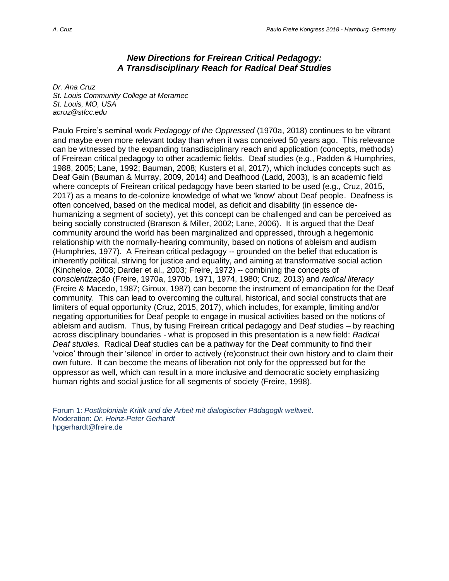## *New Directions for Freirean Critical Pedagogy: A Transdisciplinary Reach for Radical Deaf Studies*

*Dr. Ana Cruz St. Louis Community College at Meramec St. Louis, MO, USA acruz@stlcc.edu*

Paulo Freire's seminal work *Pedagogy of the Oppressed* (1970a, 2018) continues to be vibrant and maybe even more relevant today than when it was conceived 50 years ago. This relevance can be witnessed by the expanding transdisciplinary reach and application (concepts, methods) of Freirean critical pedagogy to other academic fields. Deaf studies (e.g., Padden & Humphries, 1988, 2005; Lane, 1992; Bauman, 2008; Kusters et al, 2017), which includes concepts such as Deaf Gain (Bauman & Murray, 2009, 2014) and Deafhood (Ladd, 2003), is an academic field where concepts of Freirean critical pedagogy have been started to be used (e.g., Cruz, 2015, 2017) as a means to de-colonize knowledge of what we 'know' about Deaf people. Deafness is often conceived, based on the medical model, as deficit and disability (in essence dehumanizing a segment of society), yet this concept can be challenged and can be perceived as being socially constructed (Branson & Miller, 2002; Lane, 2006). It is argued that the Deaf community around the world has been marginalized and oppressed, through a hegemonic relationship with the normally-hearing community, based on notions of ableism and audism (Humphries, 1977). A Freirean critical pedagogy -- grounded on the belief that education is inherently political, striving for justice and equality, and aiming at transformative social action (Kincheloe, 2008; Darder et al., 2003; Freire, 1972) -- combining the concepts of *conscientização* (Freire, 1970a, 1970b, 1971, 1974, 1980; Cruz, 2013) and *radical literacy* (Freire & Macedo, 1987; Giroux, 1987) can become the instrument of emancipation for the Deaf community. This can lead to overcoming the cultural, historical, and social constructs that are limiters of equal opportunity (Cruz, 2015, 2017), which includes, for example, limiting and/or negating opportunities for Deaf people to engage in musical activities based on the notions of ableism and audism. Thus, by fusing Freirean critical pedagogy and Deaf studies – by reaching across disciplinary boundaries - what is proposed in this presentation is a new field: *Radical Deaf studies*. Radical Deaf studies can be a pathway for the Deaf community to find their 'voice' through their 'silence' in order to actively (re)construct their own history and to claim their own future. It can become the means of liberation not only for the oppressed but for the oppressor as well, which can result in a more inclusive and democratic society emphasizing human rights and social justice for all segments of society (Freire, 1998).

Forum 1: *Postkoloniale Kritik und die Arbeit mit dialogischer Pädagogik weltweit*. Moderation: *Dr. Heinz-Peter Gerhardt* hpgerhardt@freire.de